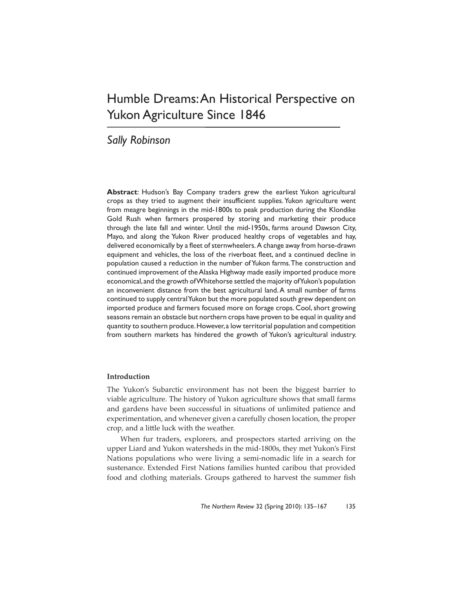# Humble Dreams: An Historical Perspective on Yukon Agriculture Since 1846

# *Sally Robinson*

**Abstract**: Hudson's Bay Company traders grew the earliest Yukon agricultural crops as they tried to augment their insufficient supplies. Yukon agriculture went from meagre beginnings in the mid-1800s to peak production during the Klondike Gold Rush when farmers prospered by storing and marketing their produce through the late fall and winter. Until the mid-1950s, farms around Dawson City, Mayo, and along the Yukon River produced healthy crops of vegetables and hay, delivered economically by a fleet of sternwheelers. A change away from horse-drawn equipment and vehicles, the loss of the riverboat fleet, and a continued decline in population caused a reduction in the number of Yukon farms. The construction and continued improvement of the Alaska Highway made easily imported produce more economical, and the growth of Whitehorse settled the majority of Yukon's population an inconvenient distance from the best agricultural land. A small number of farms continued to supply central Yukon but the more populated south grew dependent on imported produce and farmers focused more on forage crops. Cool, short growing seasons remain an obstacle but northern crops have proven to be equal in quality and quantity to southern produce. However, a low territorial population and competition from southern markets has hindered the growth of Yukon's agricultural industry.

## **Introduction**

The Yukon's Subarctic environment has not been the biggest barrier to viable agriculture. The history of Yukon agriculture shows that small farms and gardens have been successful in situations of unlimited patience and experimentation, and whenever given a carefully chosen location, the proper crop, and a little luck with the weather.

When fur traders, explorers, and prospectors started arriving on the upper Liard and Yukon watersheds in the mid-1800s, they met Yukon's First Nations populations who were living a semi-nomadic life in a search for sustenance. Extended First Nations families hunted caribou that provided food and clothing materials. Groups gathered to harvest the summer fish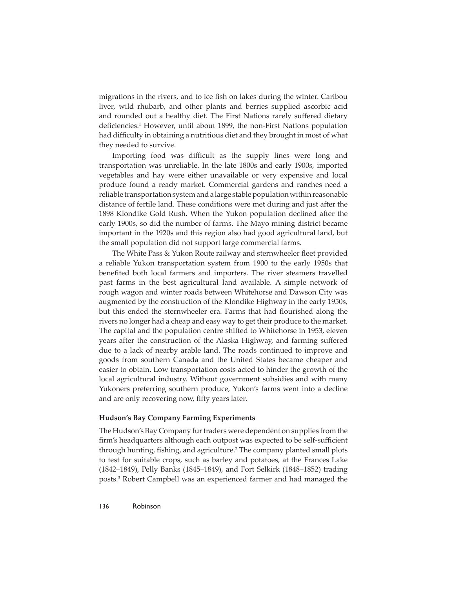migrations in the rivers, and to ice fish on lakes during the winter. Caribou liver, wild rhubarb, and other plants and berries supplied ascorbic acid and rounded out a healthy diet. The First Nations rarely suffered dietary deficiencies.<sup>1</sup> However, until about 1899, the non-First Nations population had difficulty in obtaining a nutritious diet and they brought in most of what they needed to survive.

Importing food was difficult as the supply lines were long and transportation was unreliable. In the late 1800s and early 1900s, imported vegetables and hay were either unavailable or very expensive and local produce found a ready market. Commercial gardens and ranches need a reliable transportation system and a large stable population within reasonable distance of fertile land. These conditions were met during and just after the 1898 Klondike Gold Rush. When the Yukon population declined after the early 1900s, so did the number of farms. The Mayo mining district became important in the 1920s and this region also had good agricultural land, but the small population did not support large commercial farms.

The White Pass & Yukon Route railway and sternwheeler fleet provided a reliable Yukon transportation system from 1900 to the early 1950s that benefited both local farmers and importers. The river steamers travelled past farms in the best agricultural land available. A simple network of rough wagon and winter roads between Whitehorse and Dawson City was augmented by the construction of the Klondike Highway in the early 1950s, but this ended the sternwheeler era. Farms that had flourished along the rivers no longer had a cheap and easy way to get their produce to the market. The capital and the population centre shifted to Whitehorse in 1953, eleven years after the construction of the Alaska Highway, and farming suffered due to a lack of nearby arable land. The roads continued to improve and goods from southern Canada and the United States became cheaper and easier to obtain. Low transportation costs acted to hinder the growth of the local agricultural industry. Without government subsidies and with many Yukoners preferring southern produce, Yukon's farms went into a decline and are only recovering now, fifty years later.

## **Hudson's Bay Company Farming Experiments**

The Hudson's Bay Company fur traders were dependent on supplies from the firm's headquarters although each outpost was expected to be self-sufficient through hunting, fishing, and agriculture.<sup>2</sup> The company planted small plots to test for suitable crops, such as barley and potatoes, at the Frances Lake (1842–1849), Pelly Banks (1845–1849), and Fort Selkirk (1848–1852) trading posts.3 Robert Campbell was an experienced farmer and had managed the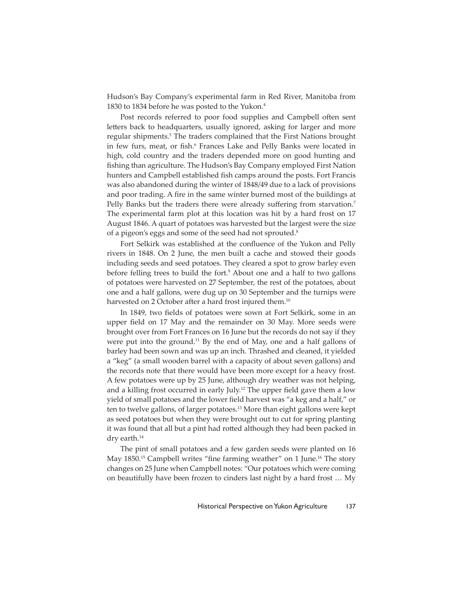Hudson's Bay Company's experimental farm in Red River, Manitoba from 1830 to 1834 before he was posted to the Yukon.4

Post records referred to poor food supplies and Campbell often sent letters back to headquarters, usually ignored, asking for larger and more regular shipments.<sup>5</sup> The traders complained that the First Nations brought in few furs, meat, or fish.<sup>6</sup> Frances Lake and Pelly Banks were located in high, cold country and the traders depended more on good hunting and fishing than agriculture. The Hudson's Bay Company employed First Nation hunters and Campbell established fish camps around the posts. Fort Francis was also abandoned during the winter of 1848/49 due to a lack of provisions and poor trading. A fire in the same winter burned most of the buildings at Pelly Banks but the traders there were already suffering from starvation.<sup>7</sup> The experimental farm plot at this location was hit by a hard frost on 17 August 1846. A quart of potatoes was harvested but the largest were the size of a pigeon's eggs and some of the seed had not sprouted.8

Fort Selkirk was established at the confluence of the Yukon and Pelly rivers in 1848. On 2 June, the men built a cache and stowed their goods including seeds and seed potatoes. They cleared a spot to grow barley even before felling trees to build the fort.<sup>9</sup> About one and a half to two gallons of potatoes were harvested on 27 September, the rest of the potatoes, about one and a half gallons, were dug up on 30 September and the turnips were harvested on 2 October after a hard frost injured them.<sup>10</sup>

In 1849, two fields of potatoes were sown at Fort Selkirk, some in an upper field on 17 May and the remainder on 30 May. More seeds were brought over from Fort Frances on 16 June but the records do not say if they were put into the ground.<sup>11</sup> By the end of May, one and a half gallons of barley had been sown and was up an inch. Thrashed and cleaned, it yielded a "keg" (a small wooden barrel with a capacity of about seven gallons) and the records note that there would have been more except for a heavy frost. A few potatoes were up by 25 June, although dry weather was not helping, and a killing frost occurred in early July.<sup>12</sup> The upper field gave them a low yield of small potatoes and the lower field harvest was "a keg and a half," or ten to twelve gallons, of larger potatoes.13 More than eight gallons were kept as seed potatoes but when they were brought out to cut for spring planting it was found that all but a pint had rotted although they had been packed in dry earth.<sup>14</sup>

The pint of small potatoes and a few garden seeds were planted on 16 May  $1850$ .<sup>15</sup> Campbell writes "fine farming weather" on 1 June.<sup>16</sup> The story changes on 25 June when Campbell notes: "Our potatoes which were coming on beautifully have been frozen to cinders last night by a hard frost … My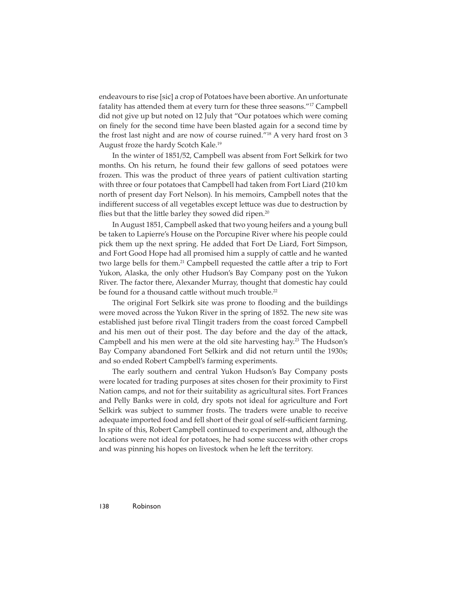endeavours to rise [sic] a crop of Potatoes have been abortive. An unfortunate fatality has attended them at every turn for these three seasons."<sup>17</sup> Campbell did not give up but noted on 12 July that "Our potatoes which were coming on finely for the second time have been blasted again for a second time by the frost last night and are now of course ruined."18 A very hard frost on 3 August froze the hardy Scotch Kale.19

In the winter of 1851/52, Campbell was absent from Fort Selkirk for two months. On his return, he found their few gallons of seed potatoes were frozen. This was the product of three years of patient cultivation starting with three or four potatoes that Campbell had taken from Fort Liard (210 km north of present day Fort Nelson). In his memoirs, Campbell notes that the indifferent success of all vegetables except lettuce was due to destruction by flies but that the little barley they sowed did ripen.<sup>20</sup>

In August 1851, Campbell asked that two young heifers and a young bull be taken to Lapierre's House on the Porcupine River where his people could pick them up the next spring. He added that Fort De Liard, Fort Simpson, and Fort Good Hope had all promised him a supply of cattle and he wanted two large bells for them.<sup>21</sup> Campbell requested the cattle after a trip to Fort Yukon, Alaska, the only other Hudson's Bay Company post on the Yukon River. The factor there, Alexander Murray, thought that domestic hay could be found for a thousand cattle without much trouble.<sup>22</sup>

The original Fort Selkirk site was prone to flooding and the buildings were moved across the Yukon River in the spring of 1852. The new site was established just before rival Tlingit traders from the coast forced Campbell and his men out of their post. The day before and the day of the attack, Campbell and his men were at the old site harvesting hay.<sup>23</sup> The Hudson's Bay Company abandoned Fort Selkirk and did not return until the 1930s; and so ended Robert Campbell's farming experiments.

The early southern and central Yukon Hudson's Bay Company posts were located for trading purposes at sites chosen for their proximity to First Nation camps, and not for their suitability as agricultural sites. Fort Frances and Pelly Banks were in cold, dry spots not ideal for agriculture and Fort Selkirk was subject to summer frosts. The traders were unable to receive adequate imported food and fell short of their goal of self-sufficient farming. In spite of this, Robert Campbell continued to experiment and, although the locations were not ideal for potatoes, he had some success with other crops and was pinning his hopes on livestock when he left the territory.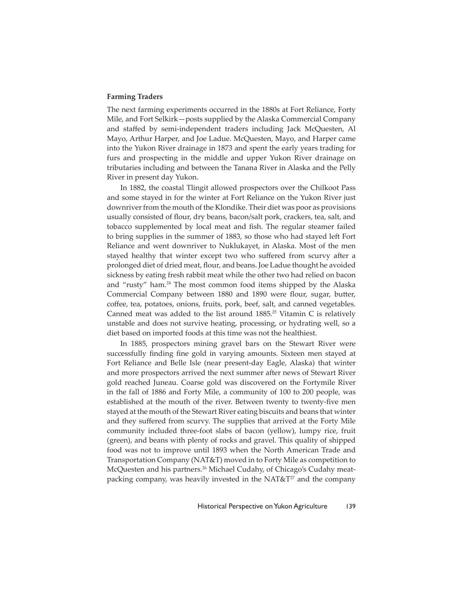## **Farming Traders**

The next farming experiments occurred in the 1880s at Fort Reliance, Forty Mile, and Fort Selkirk—posts supplied by the Alaska Commercial Company and staffed by semi-independent traders including Jack McQuesten, Al Mayo, Arthur Harper, and Joe Ladue. McQuesten, Mayo, and Harper came into the Yukon River drainage in 1873 and spent the early years trading for furs and prospecting in the middle and upper Yukon River drainage on tributaries including and between the Tanana River in Alaska and the Pelly River in present day Yukon.

In 1882, the coastal Tlingit allowed prospectors over the Chilkoot Pass and some stayed in for the winter at Fort Reliance on the Yukon River just downriver from the mouth of the Klondike. Their diet was poor as provisions usually consisted of flour, dry beans, bacon/salt pork, crackers, tea, salt, and tobacco supplemented by local meat and fish. The regular steamer failed to bring supplies in the summer of 1883, so those who had stayed left Fort Reliance and went downriver to Nuklukayet, in Alaska. Most of the men stayed healthy that winter except two who suffered from scurvy after a prolonged diet of dried meat, flour, and beans. Joe Ladue thought he avoided sickness by eating fresh rabbit meat while the other two had relied on bacon and "rusty" ham.24 The most common food items shipped by the Alaska Commercial Company between 1880 and 1890 were flour, sugar, butter, coffee, tea, potatoes, onions, fruits, pork, beef, salt, and canned vegetables. Canned meat was added to the list around  $1885<sup>25</sup>$  Vitamin C is relatively unstable and does not survive heating, processing, or hydrating well, so a diet based on imported foods at this time was not the healthiest.

In 1885, prospectors mining gravel bars on the Stewart River were successfully finding fine gold in varying amounts. Sixteen men stayed at Fort Reliance and Belle Isle (near present-day Eagle, Alaska) that winter and more prospectors arrived the next summer after news of Stewart River gold reached Juneau. Coarse gold was discovered on the Fortymile River in the fall of 1886 and Forty Mile, a community of 100 to 200 people, was established at the mouth of the river. Between twenty to twenty-five men stayed at the mouth of the Stewart River eating biscuits and beans that winter and they suffered from scurvy. The supplies that arrived at the Forty Mile community included three-foot slabs of bacon (yellow), lumpy rice, fruit (green), and beans with plenty of rocks and gravel. This quality of shipped food was not to improve until 1893 when the North American Trade and Transportation Company (NAT&T) moved in to Forty Mile as competition to McQuesten and his partners.<sup>26</sup> Michael Cudahy, of Chicago's Cudahy meatpacking company, was heavily invested in the NAT& $T^{27}$  and the company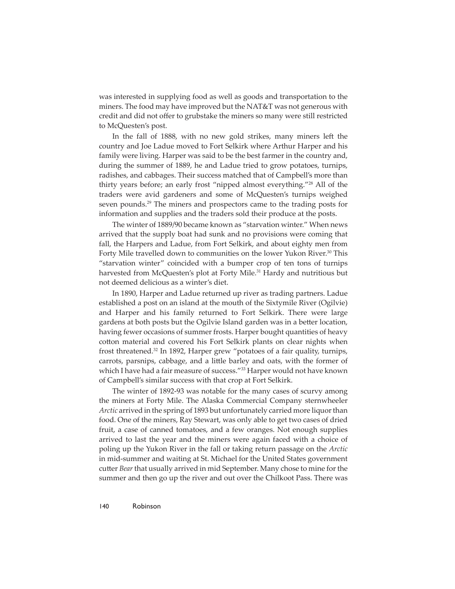was interested in supplying food as well as goods and transportation to the miners. The food may have improved but the NAT&T was not generous with credit and did not offer to grubstake the miners so many were still restricted to McQuesten's post.

In the fall of 1888, with no new gold strikes, many miners left the country and Joe Ladue moved to Fort Selkirk where Arthur Harper and his family were living. Harper was said to be the best farmer in the country and, during the summer of 1889, he and Ladue tried to grow potatoes, turnips, radishes, and cabbages. Their success matched that of Campbell's more than thirty years before; an early frost "nipped almost everything."28 All of the traders were avid gardeners and some of McQuesten's turnips weighed seven pounds.<sup>29</sup> The miners and prospectors came to the trading posts for information and supplies and the traders sold their produce at the posts.

The winter of 1889/90 became known as "starvation winter." When news arrived that the supply boat had sunk and no provisions were coming that fall, the Harpers and Ladue, from Fort Selkirk, and about eighty men from Forty Mile travelled down to communities on the lower Yukon River.<sup>30</sup> This "starvation winter" coincided with a bumper crop of ten tons of turnips harvested from McQuesten's plot at Forty Mile.<sup>31</sup> Hardy and nutritious but not deemed delicious as a winter's diet.

In 1890, Harper and Ladue returned up river as trading partners. Ladue established a post on an island at the mouth of the Sixtymile River (Ogilvie) and Harper and his family returned to Fort Selkirk. There were large gardens at both posts but the Ogilvie Island garden was in a better location, having fewer occasions of summer frosts. Harper bought quantities of heavy cotton material and covered his Fort Selkirk plants on clear nights when frost threatened.32 In 1892, Harper grew "potatoes of a fair quality, turnips, carrots, parsnips, cabbage, and a little barley and oats, with the former of which I have had a fair measure of success."<sup>33</sup> Harper would not have known of Campbell's similar success with that crop at Fort Selkirk.

The winter of 1892-93 was notable for the many cases of scurvy among the miners at Forty Mile. The Alaska Commercial Company sternwheeler *Arctic* arrived in the spring of 1893 but unfortunately carried more liquor than food. One of the miners, Ray Stewart, was only able to get two cases of dried fruit, a case of canned tomatoes, and a few oranges. Not enough supplies arrived to last the year and the miners were again faced with a choice of poling up the Yukon River in the fall or taking return passage on the *Arctic*  in mid-summer and waiting at St. Michael for the United States government cutter *Bear* that usually arrived in mid September. Many chose to mine for the summer and then go up the river and out over the Chilkoot Pass. There was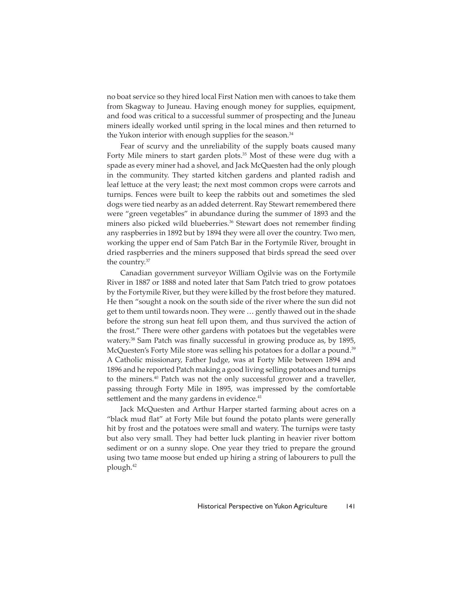no boat service so they hired local First Nation men with canoes to take them from Skagway to Juneau. Having enough money for supplies, equipment, and food was critical to a successful summer of prospecting and the Juneau miners ideally worked until spring in the local mines and then returned to the Yukon interior with enough supplies for the season.<sup>34</sup>

Fear of scurvy and the unreliability of the supply boats caused many Forty Mile miners to start garden plots.<sup>35</sup> Most of these were dug with a spade as every miner had a shovel, and Jack McQuesten had the only plough in the community. They started kitchen gardens and planted radish and leaf lettuce at the very least; the next most common crops were carrots and turnips. Fences were built to keep the rabbits out and sometimes the sled dogs were tied nearby as an added deterrent. Ray Stewart remembered there were "green vegetables" in abundance during the summer of 1893 and the miners also picked wild blueberries.<sup>36</sup> Stewart does not remember finding any raspberries in 1892 but by 1894 they were all over the country. Two men, working the upper end of Sam Patch Bar in the Fortymile River, brought in dried raspberries and the miners supposed that birds spread the seed over the country.37

Canadian government surveyor William Ogilvie was on the Fortymile River in 1887 or 1888 and noted later that Sam Patch tried to grow potatoes by the Fortymile River, but they were killed by the frost before they matured. He then "sought a nook on the south side of the river where the sun did not get to them until towards noon. They were … gently thawed out in the shade before the strong sun heat fell upon them, and thus survived the action of the frost." There were other gardens with potatoes but the vegetables were watery.<sup>38</sup> Sam Patch was finally successful in growing produce as, by 1895, McQuesten's Forty Mile store was selling his potatoes for a dollar a pound.<sup>39</sup> A Catholic missionary, Father Judge, was at Forty Mile between 1894 and 1896 and he reported Patch making a good living selling potatoes and turnips to the miners.40 Patch was not the only successful grower and a traveller, passing through Forty Mile in 1895, was impressed by the comfortable settlement and the many gardens in evidence.<sup>41</sup>

Jack McQuesten and Arthur Harper started farming about acres on a "black mud flat" at Forty Mile but found the potato plants were generally hit by frost and the potatoes were small and watery. The turnips were tasty but also very small. They had better luck planting in heavier river bottom sediment or on a sunny slope. One year they tried to prepare the ground using two tame moose but ended up hiring a string of labourers to pull the plough.42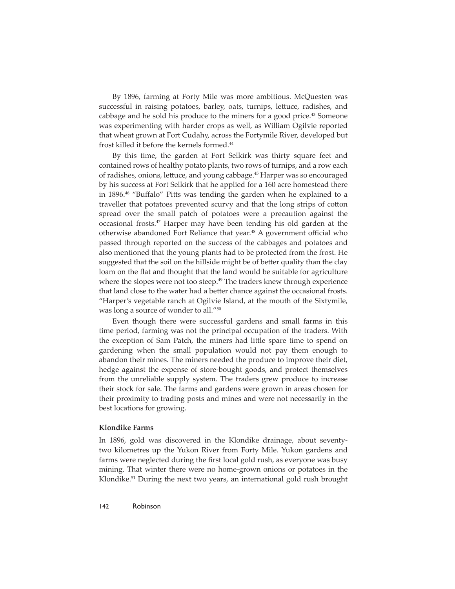By 1896, farming at Forty Mile was more ambitious. McQuesten was successful in raising potatoes, barley, oats, turnips, lettuce, radishes, and cabbage and he sold his produce to the miners for a good price.<sup>43</sup> Someone was experimenting with harder crops as well, as William Ogilvie reported that wheat grown at Fort Cudahy, across the Fortymile River, developed but frost killed it before the kernels formed.44

By this time, the garden at Fort Selkirk was thirty square feet and contained rows of healthy potato plants, two rows of turnips, and a row each of radishes, onions, lettuce, and young cabbage.<sup>45</sup> Harper was so encouraged by his success at Fort Selkirk that he applied for a 160 acre homestead there in 1896.<sup>46</sup> "Buffalo" Pitts was tending the garden when he explained to a traveller that potatoes prevented scurvy and that the long strips of cotton spread over the small patch of potatoes were a precaution against the occasional frosts. $47$  Harper may have been tending his old garden at the otherwise abandoned Fort Reliance that year.<sup>48</sup> A government official who passed through reported on the success of the cabbages and potatoes and also mentioned that the young plants had to be protected from the frost. He suggested that the soil on the hillside might be of better quality than the clay loam on the flat and thought that the land would be suitable for agriculture where the slopes were not too steep.<sup>49</sup> The traders knew through experience that land close to the water had a better chance against the occasional frosts. "Harper's vegetable ranch at Ogilvie Island, at the mouth of the Sixtymile, was long a source of wonder to all."50

Even though there were successful gardens and small farms in this time period, farming was not the principal occupation of the traders. With the exception of Sam Patch, the miners had little spare time to spend on gardening when the small population would not pay them enough to abandon their mines. The miners needed the produce to improve their diet, hedge against the expense of store-bought goods, and protect themselves from the unreliable supply system. The traders grew produce to increase their stock for sale. The farms and gardens were grown in areas chosen for their proximity to trading posts and mines and were not necessarily in the best locations for growing.

#### **Klondike Farms**

In 1896, gold was discovered in the Klondike drainage, about seventytwo kilometres up the Yukon River from Forty Mile. Yukon gardens and farms were neglected during the first local gold rush, as everyone was busy mining. That winter there were no home-grown onions or potatoes in the Klondike.51 During the next two years, an international gold rush brought

142 Robinson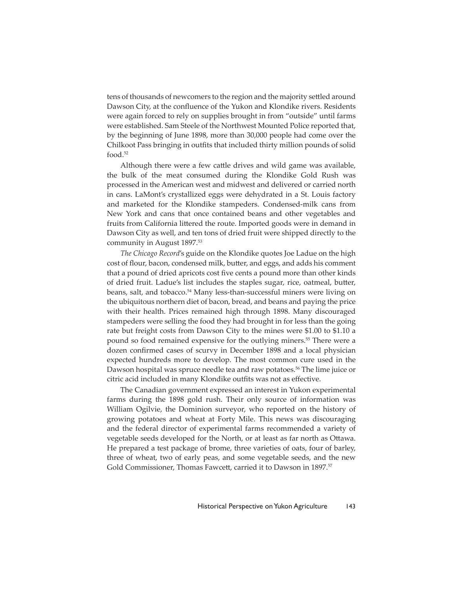tens of thousands of newcomers to the region and the majority settled around Dawson City, at the confluence of the Yukon and Klondike rivers. Residents were again forced to rely on supplies brought in from "outside" until farms were established. Sam Steele of the Northwest Mounted Police reported that, by the beginning of June 1898, more than 30,000 people had come over the Chilkoot Pass bringing in outfits that included thirty million pounds of solid food.52

Although there were a few cattle drives and wild game was available, the bulk of the meat consumed during the Klondike Gold Rush was processed in the American west and midwest and delivered or carried north in cans. LaMont's crystallized eggs were dehydrated in a St. Louis factory and marketed for the Klondike stampeders. Condensed-milk cans from New York and cans that once contained beans and other vegetables and fruits from California littered the route. Imported goods were in demand in Dawson City as well, and ten tons of dried fruit were shipped directly to the community in August 1897.53

*The Chicago Record*'s guide on the Klondike quotes Joe Ladue on the high cost of flour, bacon, condensed milk, butter, and eggs, and adds his comment that a pound of dried apricots cost five cents a pound more than other kinds of dried fruit. Ladue's list includes the staples sugar, rice, oatmeal, butter, beans, salt, and tobacco.<sup>54</sup> Many less-than-successful miners were living on the ubiquitous northern diet of bacon, bread, and beans and paying the price with their health. Prices remained high through 1898. Many discouraged stampeders were selling the food they had brought in for less than the going rate but freight costs from Dawson City to the mines were \$1.00 to \$1.10 a pound so food remained expensive for the outlying miners.<sup>55</sup> There were a dozen confirmed cases of scurvy in December 1898 and a local physician expected hundreds more to develop. The most common cure used in the Dawson hospital was spruce needle tea and raw potatoes.<sup>56</sup> The lime juice or citric acid included in many Klondike outfits was not as effective.

The Canadian government expressed an interest in Yukon experimental farms during the 1898 gold rush. Their only source of information was William Ogilvie, the Dominion surveyor, who reported on the history of growing potatoes and wheat at Forty Mile. This news was discouraging and the federal director of experimental farms recommended a variety of vegetable seeds developed for the North, or at least as far north as Ottawa. He prepared a test package of brome, three varieties of oats, four of barley, three of wheat, two of early peas, and some vegetable seeds, and the new Gold Commissioner, Thomas Fawcett, carried it to Dawson in 1897.<sup>57</sup>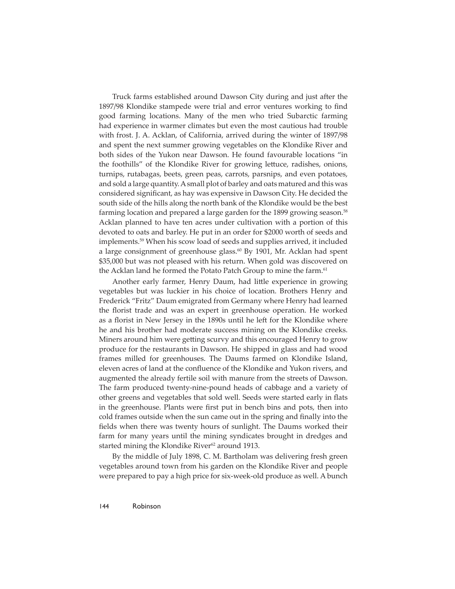Truck farms established around Dawson City during and just after the 1897/98 Klondike stampede were trial and error ventures working to find good farming locations. Many of the men who tried Subarctic farming had experience in warmer climates but even the most cautious had trouble with frost. J. A. Acklan, of California, arrived during the winter of 1897/98 and spent the next summer growing vegetables on the Klondike River and both sides of the Yukon near Dawson. He found favourable locations "in the foothills" of the Klondike River for growing lettuce, radishes, onions, turnips, rutabagas, beets, green peas, carrots, parsnips, and even potatoes, and sold a large quantity. A small plot of barley and oats matured and this was considered significant, as hay was expensive in Dawson City. He decided the south side of the hills along the north bank of the Klondike would be the best farming location and prepared a large garden for the 1899 growing season.<sup>58</sup> Acklan planned to have ten acres under cultivation with a portion of this devoted to oats and barley. He put in an order for \$2000 worth of seeds and implements.59 When his scow load of seeds and supplies arrived, it included a large consignment of greenhouse glass.<sup>60</sup> By 1901, Mr. Acklan had spent \$35,000 but was not pleased with his return. When gold was discovered on the Acklan land he formed the Potato Patch Group to mine the farm.<sup>61</sup>

Another early farmer, Henry Daum, had little experience in growing vegetables but was luckier in his choice of location. Brothers Henry and Frederick "Fritz" Daum emigrated from Germany where Henry had learned the florist trade and was an expert in greenhouse operation. He worked as a florist in New Jersey in the 1890s until he left for the Klondike where he and his brother had moderate success mining on the Klondike creeks. Miners around him were getting scurvy and this encouraged Henry to grow produce for the restaurants in Dawson. He shipped in glass and had wood frames milled for greenhouses. The Daums farmed on Klondike Island, eleven acres of land at the confluence of the Klondike and Yukon rivers, and augmented the already fertile soil with manure from the streets of Dawson. The farm produced twenty-nine-pound heads of cabbage and a variety of other greens and vegetables that sold well. Seeds were started early in flats in the greenhouse. Plants were first put in bench bins and pots, then into cold frames outside when the sun came out in the spring and finally into the fields when there was twenty hours of sunlight. The Daums worked their farm for many years until the mining syndicates brought in dredges and started mining the Klondike River<sup>62</sup> around 1913.

By the middle of July 1898, C. M. Bartholam was delivering fresh green vegetables around town from his garden on the Klondike River and people were prepared to pay a high price for six-week-old produce as well. A bunch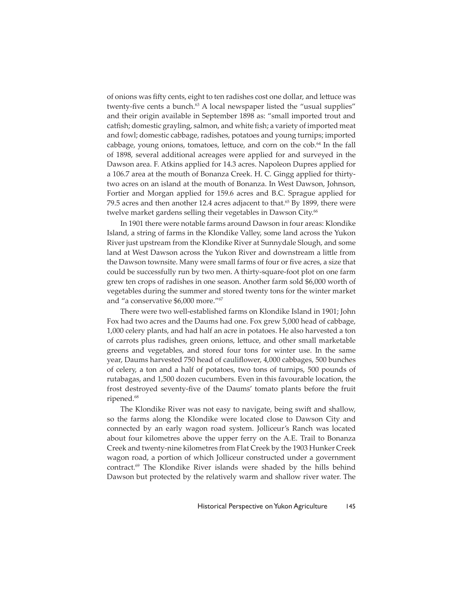of onions was fifty cents, eight to ten radishes cost one dollar, and lettuce was twenty-five cents a bunch.<sup>63</sup> A local newspaper listed the "usual supplies" and their origin available in September 1898 as: "small imported trout and catfish; domestic grayling, salmon, and white fish; a variety of imported meat and fowl; domestic cabbage, radishes, potatoes and young turnips; imported cabbage, young onions, tomatoes, lettuce, and corn on the  $\cosh^{64}$  In the fall of 1898, several additional acreages were applied for and surveyed in the Dawson area. F. Atkins applied for 14.3 acres. Napoleon Dupres applied for a 106.7 area at the mouth of Bonanza Creek. H. C. Gingg applied for thirtytwo acres on an island at the mouth of Bonanza. In West Dawson, Johnson, Fortier and Morgan applied for 159.6 acres and B.C. Sprague applied for 79.5 acres and then another 12.4 acres adjacent to that.<sup>65</sup> By 1899, there were twelve market gardens selling their vegetables in Dawson City.<sup>66</sup>

In 1901 there were notable farms around Dawson in four areas: Klondike Island, a string of farms in the Klondike Valley, some land across the Yukon River just upstream from the Klondike River at Sunnydale Slough, and some land at West Dawson across the Yukon River and downstream a little from the Dawson townsite. Many were small farms of four or five acres, a size that could be successfully run by two men. A thirty-square-foot plot on one farm grew ten crops of radishes in one season. Another farm sold \$6,000 worth of vegetables during the summer and stored twenty tons for the winter market and "a conservative \$6,000 more."67

There were two well-established farms on Klondike Island in 1901; John Fox had two acres and the Daums had one. Fox grew 5,000 head of cabbage, 1,000 celery plants, and had half an acre in potatoes. He also harvested a ton of carrots plus radishes, green onions, lettuce, and other small marketable greens and vegetables, and stored four tons for winter use. In the same year, Daums harvested 750 head of cauliflower, 4,000 cabbages, 500 bunches of celery, a ton and a half of potatoes, two tons of turnips, 500 pounds of rutabagas, and 1,500 dozen cucumbers. Even in this favourable location, the frost destroyed seventy-five of the Daums' tomato plants before the fruit ripened.68

The Klondike River was not easy to navigate, being swift and shallow, so the farms along the Klondike were located close to Dawson City and connected by an early wagon road system. Jolliceur's Ranch was located about four kilometres above the upper ferry on the A.E. Trail to Bonanza Creek and twenty-nine kilometres from Flat Creek by the 1903 Hunker Creek wagon road, a portion of which Jolliceur constructed under a government contract.<sup>69</sup> The Klondike River islands were shaded by the hills behind Dawson but protected by the relatively warm and shallow river water. The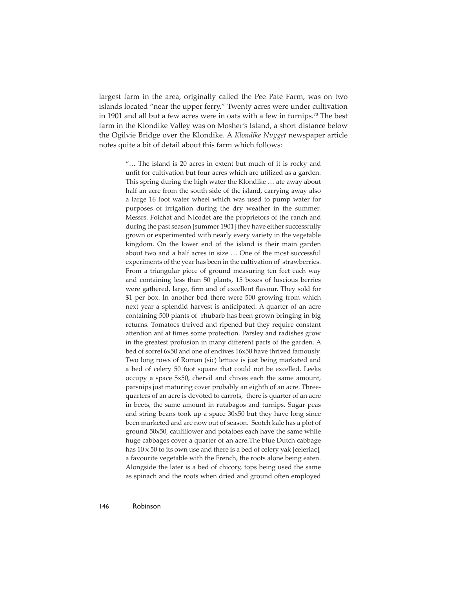largest farm in the area, originally called the Pee Pate Farm, was on two islands located "near the upper ferry." Twenty acres were under cultivation in 1901 and all but a few acres were in oats with a few in turnips.<sup>70</sup> The best farm in the Klondike Valley was on Mosher's Island, a short distance below the Ogilvie Bridge over the Klondike. A *Klondike Nugget* newspaper article notes quite a bit of detail about this farm which follows:

> "… The island is 20 acres in extent but much of it is rocky and unfit for cultivation but four acres which are utilized as a garden. This spring during the high water the Klondike … ate away about half an acre from the south side of the island, carrying away also a large 16 foot water wheel which was used to pump water for purposes of irrigation during the dry weather in the summer. Messrs. Foichat and Nicodet are the proprietors of the ranch and during the past season [summer 1901] they have either successfully grown or experimented with nearly every variety in the vegetable kingdom. On the lower end of the island is their main garden about two and a half acres in size … One of the most successful experiments of the year has been in the cultivation of strawberries. From a triangular piece of ground measuring ten feet each way and containing less than 50 plants, 15 boxes of luscious berries were gathered, large, firm and of excellent flavour. They sold for \$1 per box. In another bed there were 500 growing from which next year a splendid harvest is anticipated. A quarter of an acre containing 500 plants of rhubarb has been grown bringing in big returns. Tomatoes thrived and ripened but they require constant attention anf at times some protection. Parsley and radishes grow in the greatest profusion in many different parts of the garden. A bed of sorrel 6x50 and one of endives 16x50 have thrived famously. Two long rows of Roman (sic) lettuce is just being marketed and a bed of celery 50 foot square that could not be excelled. Leeks occupy a space 5x50, chervil and chives each the same amount, parsnips just maturing cover probably an eighth of an acre. Threequarters of an acre is devoted to carrots, there is quarter of an acre in beets, the same amount in rutabagos and turnips. Sugar peas and string beans took up a space 30x50 but they have long since been marketed and are now out of season. Scotch kale has a plot of ground 50x50, cauliflower and potatoes each have the same while huge cabbages cover a quarter of an acre.The blue Dutch cabbage has 10 x 50 to its own use and there is a bed of celery yak [celeriac], a favourite vegetable with the French, the roots alone being eaten. Alongside the later is a bed of chicory, tops being used the same as spinach and the roots when dried and ground often employed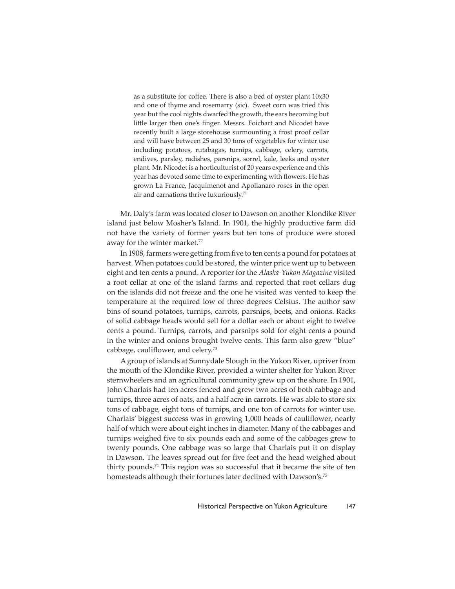as a substitute for coffee. There is also a bed of oyster plant  $10x30$ and one of thyme and rosemarry (sic). Sweet corn was tried this year but the cool nights dwarfed the growth, the ears becoming but little larger then one's finger. Messrs. Foichart and Nicodet have recently built a large storehouse surmounting a frost proof cellar and will have between 25 and 30 tons of vegetables for winter use including potatoes, rutabagas, turnips, cabbage, celery, carrots, endives, parsley, radishes, parsnips, sorrel, kale, leeks and oyster plant. Mr. Nicodet is a horticulturist of 20 years experience and this year has devoted some time to experimenting with flowers. He has grown La France, Jacquimenot and Apollanaro roses in the open air and carnations thrive luxuriously.71

Mr. Daly's farm was located closer to Dawson on another Klondike River island just below Mosher's Island. In 1901, the highly productive farm did not have the variety of former years but ten tons of produce were stored away for the winter market.<sup>72</sup>

In 1908, farmers were getting from five to ten cents a pound for potatoes at harvest. When potatoes could be stored, the winter price went up to between eight and ten cents a pound. A reporter for the *Alaska-Yukon Magazine* visited a root cellar at one of the island farms and reported that root cellars dug on the islands did not freeze and the one he visited was vented to keep the temperature at the required low of three degrees Celsius. The author saw bins of sound potatoes, turnips, carrots, parsnips, beets, and onions. Racks of solid cabbage heads would sell for a dollar each or about eight to twelve cents a pound. Turnips, carrots, and parsnips sold for eight cents a pound in the winter and onions brought twelve cents. This farm also grew "blue" cabbage, cauliflower, and celery. $73$ 

A group of islands at Sunnydale Slough in the Yukon River, upriver from the mouth of the Klondike River, provided a winter shelter for Yukon River sternwheelers and an agricultural community grew up on the shore. In 1901, John Charlais had ten acres fenced and grew two acres of both cabbage and turnips, three acres of oats, and a half acre in carrots. He was able to store six tons of cabbage, eight tons of turnips, and one ton of carrots for winter use. Charlais' biggest success was in growing 1,000 heads of cauliflower, nearly half of which were about eight inches in diameter. Many of the cabbages and turnips weighed five to six pounds each and some of the cabbages grew to twenty pounds. One cabbage was so large that Charlais put it on display in Dawson. The leaves spread out for five feet and the head weighed about thirty pounds.<sup>74</sup> This region was so successful that it became the site of ten homesteads although their fortunes later declined with Dawson's.<sup>75</sup>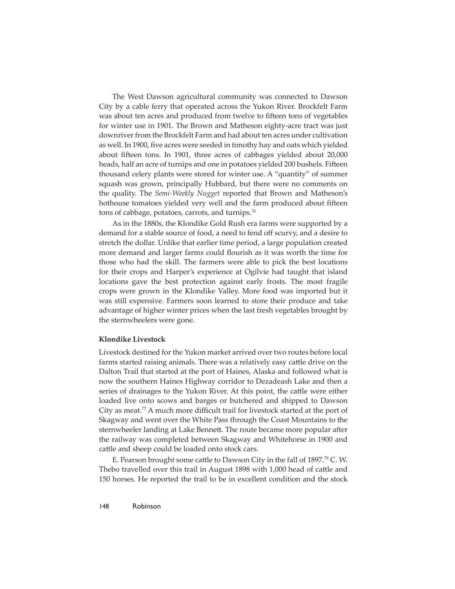The West Dawson agricultural community was connected to Dawson City by a cable ferry that operated across the Yukon River. Brockfelt Farm was about ten acres and produced from twelve to fifteen tons of vegetables for winter use in 1901. The Brown and Matheson eighty-acre tract was just downriver from the Brockfelt Farm and had about ten acres under cultivation as well. In 1900, five acres were seeded in timothy hay and oats which yielded about fifteen tons. In 1901, three acres of cabbages yielded about 20,000 heads, half an acre of turnips and one in potatoes yielded 200 bushels. Fifteen thousand celery plants were stored for winter use. A "quantity" of summer squash was grown, principally Hubbard, but there were no comments on the quality. The *Semi-Weekly Nugget* reported that Brown and Matheson's hothouse tomatoes yielded very well and the farm produced about fifteen tons of cabbage, potatoes, carrots, and turnips.<sup>76</sup>

As in the 1880s, the Klondike Gold Rush era farms were supported by a demand for a stable source of food, a need to fend off scurvy, and a desire to stretch the dollar. Unlike that earlier time period, a large population created more demand and larger farms could flourish as it was worth the time for those who had the skill. The farmers were able to pick the best locations for their crops and Harper's experience at Ogilvie had taught that island locations gave the best protection against early frosts. The most fragile crops were grown in the Klondike Valley. More food was imported but it was still expensive. Farmers soon learned to store their produce and take advantage of higher winter prices when the last fresh vegetables brought by the sternwheelers were gone.

#### **Klondike Livestock**

Livestock destined for the Yukon market arrived over two routes before local farms started raising animals. There was a relatively easy cattle drive on the Dalton Trail that started at the port of Haines, Alaska and followed what is now the southern Haines Highway corridor to Dezadeash Lake and then a series of drainages to the Yukon River. At this point, the cattle were either loaded live onto scows and barges or butchered and shipped to Dawson City as meat.<sup>77</sup> A much more difficult trail for livestock started at the port of Skagway and went over the White Pass through the Coast Mountains to the sternwheeler landing at Lake Bennett. The route became more popular after the railway was completed between Skagway and Whitehorse in 1900 and cattle and sheep could be loaded onto stock cars.

E. Pearson brought some cattle to Dawson City in the fall of 1897.<sup>78</sup> C. W. Thebo travelled over this trail in August 1898 with 1,000 head of cattle and 150 horses. He reported the trail to be in excellent condition and the stock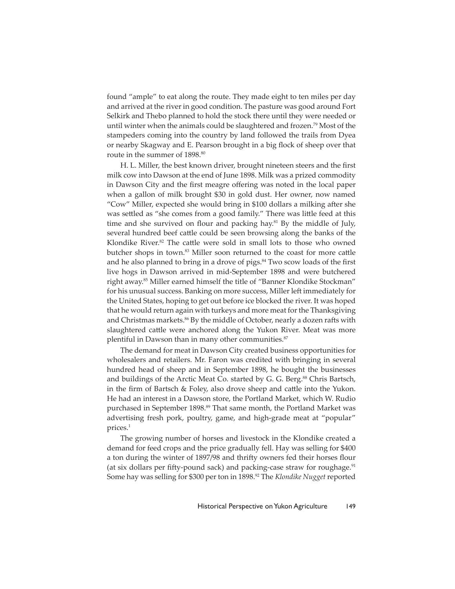found "ample" to eat along the route. They made eight to ten miles per day and arrived at the river in good condition. The pasture was good around Fort Selkirk and Thebo planned to hold the stock there until they were needed or until winter when the animals could be slaughtered and frozen.<sup>79</sup> Most of the stampeders coming into the country by land followed the trails from Dyea or nearby Skagway and E. Pearson brought in a big flock of sheep over that route in the summer of 1898.80

H. L. Miller, the best known driver, brought nineteen steers and the first milk cow into Dawson at the end of June 1898. Milk was a prized commodity in Dawson City and the first meagre offering was noted in the local paper when a gallon of milk brought \$30 in gold dust. Her owner, now named "Cow" Miller, expected she would bring in \$100 dollars a milking after she was settled as "she comes from a good family." There was little feed at this time and she survived on flour and packing hay.<sup>81</sup> By the middle of July, several hundred beef cattle could be seen browsing along the banks of the Klondike River.<sup>82</sup> The cattle were sold in small lots to those who owned butcher shops in town.<sup>83</sup> Miller soon returned to the coast for more cattle and he also planned to bring in a drove of pigs.<sup>84</sup> Two scow loads of the first live hogs in Dawson arrived in mid-September 1898 and were butchered right away.<sup>85</sup> Miller earned himself the title of "Banner Klondike Stockman" for his unusual success. Banking on more success, Miller left immediately for the United States, hoping to get out before ice blocked the river. It was hoped that he would return again with turkeys and more meat for the Thanksgiving and Christmas markets.<sup>86</sup> By the middle of October, nearly a dozen rafts with slaughtered cattle were anchored along the Yukon River. Meat was more plentiful in Dawson than in many other communities.<sup>87</sup>

The demand for meat in Dawson City created business opportunities for wholesalers and retailers. Mr. Faron was credited with bringing in several hundred head of sheep and in September 1898, he bought the businesses and buildings of the Arctic Meat Co. started by G. G. Berg.<sup>88</sup> Chris Bartsch, in the firm of Bartsch & Foley, also drove sheep and cattle into the Yukon. He had an interest in a Dawson store, the Portland Market, which W. Rudio purchased in September 1898.<sup>89</sup> That same month, the Portland Market was advertising fresh pork, poultry, game, and high-grade meat at "popular" prices.1

The growing number of horses and livestock in the Klondike created a demand for feed crops and the price gradually fell. Hay was selling for \$400 a ton during the winter of 1897/98 and thrifty owners fed their horses flour (at six dollars per fifty-pound sack) and packing-case straw for roughage. $91$ Some hay was selling for \$300 per ton in 1898.92 The *Klondike Nugget* reported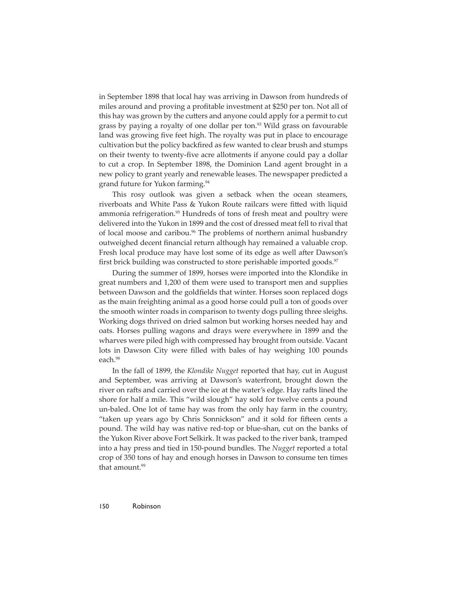in September 1898 that local hay was arriving in Dawson from hundreds of miles around and proving a profitable investment at \$250 per ton. Not all of this hay was grown by the cutters and anyone could apply for a permit to cut grass by paying a royalty of one dollar per ton.<sup>93</sup> Wild grass on favourable land was growing five feet high. The royalty was put in place to encourage cultivation but the policy backfired as few wanted to clear brush and stumps on their twenty to twenty-five acre allotments if anyone could pay a dollar to cut a crop. In September 1898, the Dominion Land agent brought in a new policy to grant yearly and renewable leases. The newspaper predicted a grand future for Yukon farming.94

This rosy outlook was given a setback when the ocean steamers, riverboats and White Pass & Yukon Route railcars were fitted with liquid ammonia refrigeration.95 Hundreds of tons of fresh meat and poultry were delivered into the Yukon in 1899 and the cost of dressed meat fell to rival that of local moose and caribou.<sup>96</sup> The problems of northern animal husbandry outweighed decent financial return although hay remained a valuable crop. Fresh local produce may have lost some of its edge as well after Dawson's first brick building was constructed to store perishable imported goods.<sup>97</sup>

During the summer of 1899, horses were imported into the Klondike in great numbers and 1,200 of them were used to transport men and supplies between Dawson and the goldfields that winter. Horses soon replaced dogs as the main freighting animal as a good horse could pull a ton of goods over the smooth winter roads in comparison to twenty dogs pulling three sleighs. Working dogs thrived on dried salmon but working horses needed hay and oats. Horses pulling wagons and drays were everywhere in 1899 and the wharves were piled high with compressed hay brought from outside. Vacant lots in Dawson City were filled with bales of hay weighing 100 pounds each.98

In the fall of 1899, the *Klondike Nugget* reported that hay, cut in August and September, was arriving at Dawson's waterfront, brought down the river on rafts and carried over the ice at the water's edge. Hay rafts lined the shore for half a mile. This "wild slough" hay sold for twelve cents a pound un-baled. One lot of tame hay was from the only hay farm in the country, "taken up years ago by Chris Sonnickson" and it sold for fifteen cents a pound. The wild hay was native red-top or blue-shan, cut on the banks of the Yukon River above Fort Selkirk. It was packed to the river bank, tramped into a hay press and tied in 150-pound bundles. The *Nugget* reported a total crop of 350 tons of hay and enough horses in Dawson to consume ten times that amount.<sup>99</sup>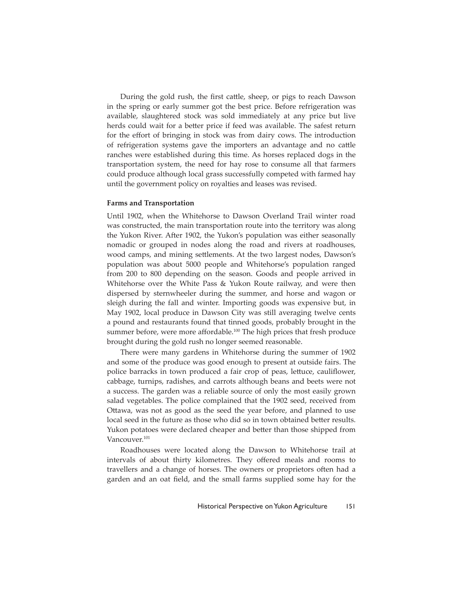During the gold rush, the first cattle, sheep, or pigs to reach Dawson in the spring or early summer got the best price. Before refrigeration was available, slaughtered stock was sold immediately at any price but live herds could wait for a better price if feed was available. The safest return for the effort of bringing in stock was from dairy cows. The introduction of refrigeration systems gave the importers an advantage and no cattle ranches were established during this time. As horses replaced dogs in the transportation system, the need for hay rose to consume all that farmers could produce although local grass successfully competed with farmed hay until the government policy on royalties and leases was revised.

#### **Farms and Transportation**

Until 1902, when the Whitehorse to Dawson Overland Trail winter road was constructed, the main transportation route into the territory was along the Yukon River. After 1902, the Yukon's population was either seasonally nomadic or grouped in nodes along the road and rivers at roadhouses, wood camps, and mining settlements. At the two largest nodes, Dawson's population was about 5000 people and Whitehorse's population ranged from 200 to 800 depending on the season. Goods and people arrived in Whitehorse over the White Pass & Yukon Route railway, and were then dispersed by sternwheeler during the summer, and horse and wagon or sleigh during the fall and winter. Importing goods was expensive but, in May 1902, local produce in Dawson City was still averaging twelve cents a pound and restaurants found that tinned goods, probably brought in the summer before, were more affordable.<sup>100</sup> The high prices that fresh produce brought during the gold rush no longer seemed reasonable.

There were many gardens in Whitehorse during the summer of 1902 and some of the produce was good enough to present at outside fairs. The police barracks in town produced a fair crop of peas, lettuce, cauliflower, cabbage, turnips, radishes, and carrots although beans and beets were not a success. The garden was a reliable source of only the most easily grown salad vegetables. The police complained that the 1902 seed, received from Ottawa, was not as good as the seed the year before, and planned to use local seed in the future as those who did so in town obtained better results. Yukon potatoes were declared cheaper and better than those shipped from Vancouver.<sup>101</sup>

Roadhouses were located along the Dawson to Whitehorse trail at intervals of about thirty kilometres. They offered meals and rooms to travellers and a change of horses. The owners or proprietors often had a garden and an oat field, and the small farms supplied some hay for the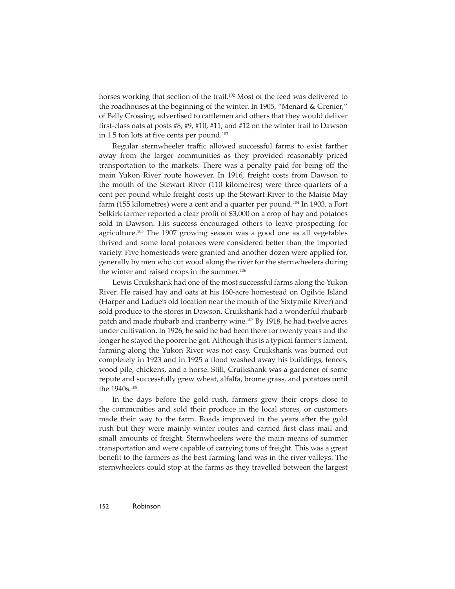horses working that section of the trail.<sup>102</sup> Most of the feed was delivered to the roadhouses at the beginning of the winter. In 1905, "Menard & Grenier," of Pelly Crossing, advertised to cattlemen and others that they would deliver first-class oats at posts  $#8, #9, #10, #11,$  and  $#12$  on the winter trail to Dawson in 1.5 ton lots at five cents per pound. $103$ 

Regular sternwheeler traffic allowed successful farms to exist farther away from the larger communities as they provided reasonably priced transportation to the markets. There was a penalty paid for being off the main Yukon River route however. In 1916, freight costs from Dawson to the mouth of the Stewart River (110 kilometres) were three-quarters of a cent per pound while freight costs up the Stewart River to the Maisie May farm (155 kilometres) were a cent and a quarter per pound.<sup>104</sup> In 1903, a Fort Selkirk farmer reported a clear profit of \$3,000 on a crop of hay and potatoes sold in Dawson. His success encouraged others to leave prospecting for agriculture.<sup>105</sup> The 1907 growing season was a good one as all vegetables thrived and some local potatoes were considered better than the imported variety. Five homesteads were granted and another dozen were applied for, generally by men who cut wood along the river for the sternwheelers during the winter and raised crops in the summer.<sup>106</sup>

Lewis Cruikshank had one of the most successful farms along the Yukon River. He raised hay and oats at his 160-acre homestead on Ogilvie Island (Harper and Ladue's old location near the mouth of the Sixtymile River) and sold produce to the stores in Dawson. Cruikshank had a wonderful rhubarb patch and made rhubarb and cranberry wine.<sup>107</sup> By 1918, he had twelve acres under cultivation. In 1926, he said he had been there for twenty years and the longer he stayed the poorer he got. Although this is a typical farmer's lament, farming along the Yukon River was not easy. Cruikshank was burned out completely in 1923 and in 1925 a flood washed away his buildings, fences, wood pile, chickens, and a horse. Still, Cruikshank was a gardener of some repute and successfully grew wheat, alfalfa, brome grass, and potatoes until the 1940s.108

In the days before the gold rush, farmers grew their crops close to the communities and sold their produce in the local stores, or customers made their way to the farm. Roads improved in the years after the gold rush but they were mainly winter routes and carried first class mail and small amounts of freight. Sternwheelers were the main means of summer transportation and were capable of carrying tons of freight. This was a great benefit to the farmers as the best farming land was in the river valleys. The sternwheelers could stop at the farms as they travelled between the largest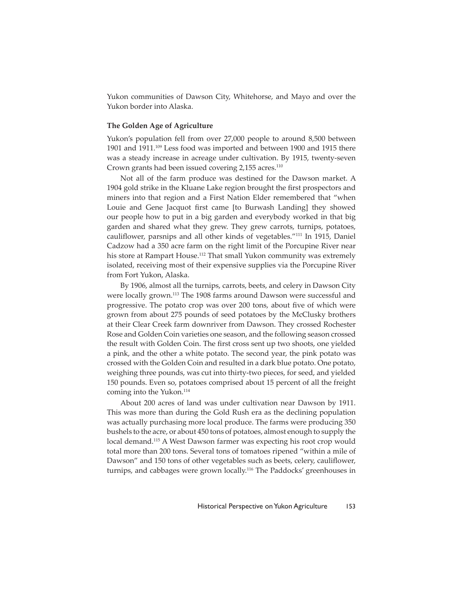Yukon communities of Dawson City, Whitehorse, and Mayo and over the Yukon border into Alaska.

# **The Golden Age of Agriculture**

Yukon's population fell from over 27,000 people to around 8,500 between 1901 and 1911.109 Less food was imported and between 1900 and 1915 there was a steady increase in acreage under cultivation. By 1915, twenty-seven Crown grants had been issued covering 2,155 acres.<sup>110</sup>

Not all of the farm produce was destined for the Dawson market. A 1904 gold strike in the Kluane Lake region brought the first prospectors and miners into that region and a First Nation Elder remembered that "when Louie and Gene Jacquot first came [to Burwash Landing] they showed our people how to put in a big garden and everybody worked in that big garden and shared what they grew. They grew carrots, turnips, potatoes, cauliflower, parsnips and all other kinds of vegetables."<sup>111</sup> In 1915, Daniel Cadzow had a 350 acre farm on the right limit of the Porcupine River near his store at Rampart House.<sup>112</sup> That small Yukon community was extremely isolated, receiving most of their expensive supplies via the Porcupine River from Fort Yukon, Alaska.

By 1906, almost all the turnips, carrots, beets, and celery in Dawson City were locally grown.<sup>113</sup> The 1908 farms around Dawson were successful and progressive. The potato crop was over 200 tons, about five of which were grown from about 275 pounds of seed potatoes by the McClusky brothers at their Clear Creek farm downriver from Dawson. They crossed Rochester Rose and Golden Coin varieties one season, and the following season crossed the result with Golden Coin. The first cross sent up two shoots, one yielded a pink, and the other a white potato. The second year, the pink potato was crossed with the Golden Coin and resulted in a dark blue potato. One potato, weighing three pounds, was cut into thirty-two pieces, for seed, and yielded 150 pounds. Even so, potatoes comprised about 15 percent of all the freight coming into the Yukon.114

About 200 acres of land was under cultivation near Dawson by 1911. This was more than during the Gold Rush era as the declining population was actually purchasing more local produce. The farms were producing 350 bushels to the acre, or about 450 tons of potatoes, almost enough to supply the local demand.115 A West Dawson farmer was expecting his root crop would total more than 200 tons. Several tons of tomatoes ripened "within a mile of Dawson" and 150 tons of other vegetables such as beets, celery, cauliflower, turnips, and cabbages were grown locally.116 The Paddocks' greenhouses in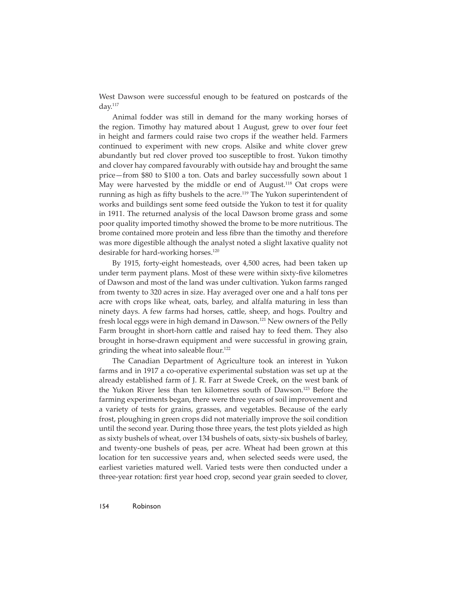West Dawson were successful enough to be featured on postcards of the day.117

Animal fodder was still in demand for the many working horses of the region. Timothy hay matured about 1 August, grew to over four feet in height and farmers could raise two crops if the weather held. Farmers continued to experiment with new crops. Alsike and white clover grew abundantly but red clover proved too susceptible to frost. Yukon timothy and clover hay compared favourably with outside hay and brought the same price—from \$80 to \$100 a ton. Oats and barley successfully sown about 1 May were harvested by the middle or end of August.<sup>118</sup> Oat crops were running as high as fifty bushels to the acre.<sup>119</sup> The Yukon superintendent of works and buildings sent some feed outside the Yukon to test it for quality in 1911. The returned analysis of the local Dawson brome grass and some poor quality imported timothy showed the brome to be more nutritious. The brome contained more protein and less fibre than the timothy and therefore was more digestible although the analyst noted a slight laxative quality not desirable for hard-working horses.<sup>120</sup>

By 1915, forty-eight homesteads, over 4,500 acres, had been taken up under term payment plans. Most of these were within sixty-five kilometres of Dawson and most of the land was under cultivation. Yukon farms ranged from twenty to 320 acres in size. Hay averaged over one and a half tons per acre with crops like wheat, oats, barley, and alfalfa maturing in less than ninety days. A few farms had horses, cattle, sheep, and hogs. Poultry and fresh local eggs were in high demand in Dawson.121 New owners of the Pelly Farm brought in short-horn cattle and raised hay to feed them. They also brought in horse-drawn equipment and were successful in growing grain, grinding the wheat into saleable flour.<sup>122</sup>

The Canadian Department of Agriculture took an interest in Yukon farms and in 1917 a co-operative experimental substation was set up at the already established farm of J. R. Farr at Swede Creek, on the west bank of the Yukon River less than ten kilometres south of Dawson.123 Before the farming experiments began, there were three years of soil improvement and a variety of tests for grains, grasses, and vegetables. Because of the early frost, ploughing in green crops did not materially improve the soil condition until the second year. During those three years, the test plots yielded as high as sixty bushels of wheat, over 134 bushels of oats, sixty-six bushels of barley, and twenty-one bushels of peas, per acre. Wheat had been grown at this location for ten successive years and, when selected seeds were used, the earliest varieties matured well. Varied tests were then conducted under a three-year rotation: first year hoed crop, second year grain seeded to clover,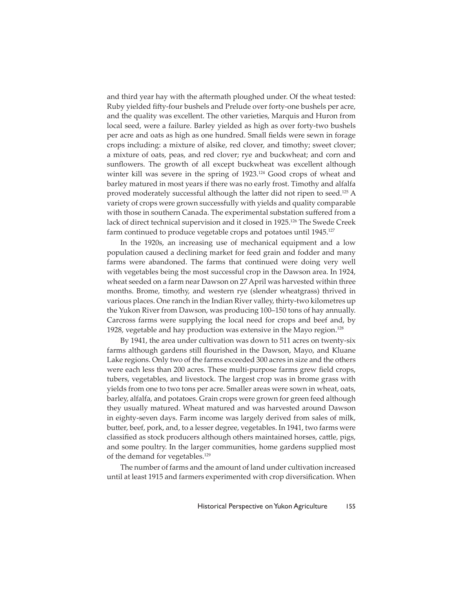and third year hay with the aftermath ploughed under. Of the wheat tested: Ruby yielded fifty-four bushels and Prelude over forty-one bushels per acre, and the quality was excellent. The other varieties, Marquis and Huron from local seed, were a failure. Barley yielded as high as over forty-two bushels per acre and oats as high as one hundred. Small fields were sewn in forage crops including: a mixture of alsike, red clover, and timothy; sweet clover; a mixture of oats, peas, and red clover; rye and buckwheat; and corn and sunflowers. The growth of all except buckwheat was excellent although winter kill was severe in the spring of 1923.<sup>124</sup> Good crops of wheat and barley matured in most years if there was no early frost. Timothy and alfalfa proved moderately successful although the latter did not ripen to seed.<sup>125</sup> A variety of crops were grown successfully with yields and quality comparable with those in southern Canada. The experimental substation suffered from a lack of direct technical supervision and it closed in 1925.<sup>126</sup> The Swede Creek farm continued to produce vegetable crops and potatoes until 1945.<sup>127</sup>

In the 1920s, an increasing use of mechanical equipment and a low population caused a declining market for feed grain and fodder and many farms were abandoned. The farms that continued were doing very well with vegetables being the most successful crop in the Dawson area. In 1924, wheat seeded on a farm near Dawson on 27 April was harvested within three months. Brome, timothy, and western rye (slender wheatgrass) thrived in various places. One ranch in the Indian River valley, thirty-two kilometres up the Yukon River from Dawson, was producing 100–150 tons of hay annually. Carcross farms were supplying the local need for crops and beef and, by 1928, vegetable and hay production was extensive in the Mayo region.<sup>128</sup>

By 1941, the area under cultivation was down to 511 acres on twenty-six farms although gardens still flourished in the Dawson, Mayo, and Kluane Lake regions. Only two of the farms exceeded 300 acres in size and the others were each less than 200 acres. These multi-purpose farms grew field crops, tubers, vegetables, and livestock. The largest crop was in brome grass with yields from one to two tons per acre. Smaller areas were sown in wheat, oats, barley, alfalfa, and potatoes. Grain crops were grown for green feed although they usually matured. Wheat matured and was harvested around Dawson in eighty-seven days. Farm income was largely derived from sales of milk, butter, beef, pork, and, to a lesser degree, vegetables. In 1941, two farms were classified as stock producers although others maintained horses, cattle, pigs, and some poultry. In the larger communities, home gardens supplied most of the demand for vegetables.129

The number of farms and the amount of land under cultivation increased until at least 1915 and farmers experimented with crop diversification. When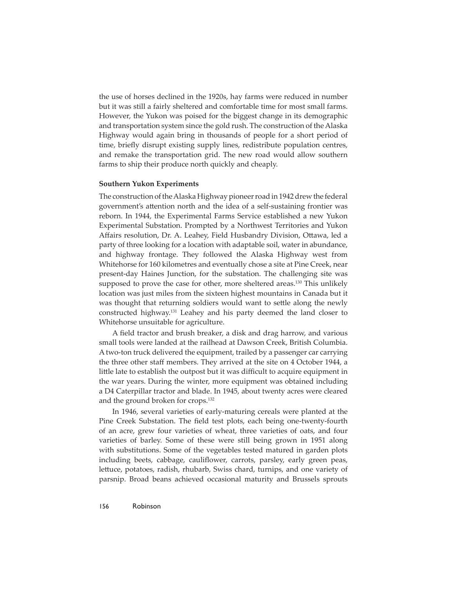the use of horses declined in the 1920s, hay farms were reduced in number but it was still a fairly sheltered and comfortable time for most small farms. However, the Yukon was poised for the biggest change in its demographic and transportation system since the gold rush. The construction of the Alaska Highway would again bring in thousands of people for a short period of time, briefly disrupt existing supply lines, redistribute population centres, and remake the transportation grid. The new road would allow southern farms to ship their produce north quickly and cheaply.

#### **Southern Yukon Experiments**

The construction of the Alaska Highway pioneer road in 1942 drew the federal government's attention north and the idea of a self-sustaining frontier was reborn. In 1944, the Experimental Farms Service established a new Yukon Experimental Substation. Prompted by a Northwest Territories and Yukon Affairs resolution, Dr. A. Leahey, Field Husbandry Division, Ottawa, led a party of three looking for a location with adaptable soil, water in abundance, and highway frontage. They followed the Alaska Highway west from Whitehorse for 160 kilometres and eventually chose a site at Pine Creek, near present-day Haines Junction, for the substation. The challenging site was supposed to prove the case for other, more sheltered areas.<sup>130</sup> This unlikely location was just miles from the sixteen highest mountains in Canada but it was thought that returning soldiers would want to settle along the newly constructed highway.131 Leahey and his party deemed the land closer to Whitehorse unsuitable for agriculture.

A field tractor and brush breaker, a disk and drag harrow, and various small tools were landed at the railhead at Dawson Creek, British Columbia. A two-ton truck delivered the equipment, trailed by a passenger car carrying the three other staff members. They arrived at the site on 4 October 1944, a little late to establish the outpost but it was difficult to acquire equipment in the war years. During the winter, more equipment was obtained including a D4 Caterpillar tractor and blade. In 1945, about twenty acres were cleared and the ground broken for crops.<sup>132</sup>

In 1946, several varieties of early-maturing cereals were planted at the Pine Creek Substation. The field test plots, each being one-twenty-fourth of an acre, grew four varieties of wheat, three varieties of oats, and four varieties of barley. Some of these were still being grown in 1951 along with substitutions. Some of the vegetables tested matured in garden plots including beets, cabbage, cauliflower, carrots, parsley, early green peas, lettuce, potatoes, radish, rhubarb, Swiss chard, turnips, and one variety of parsnip. Broad beans achieved occasional maturity and Brussels sprouts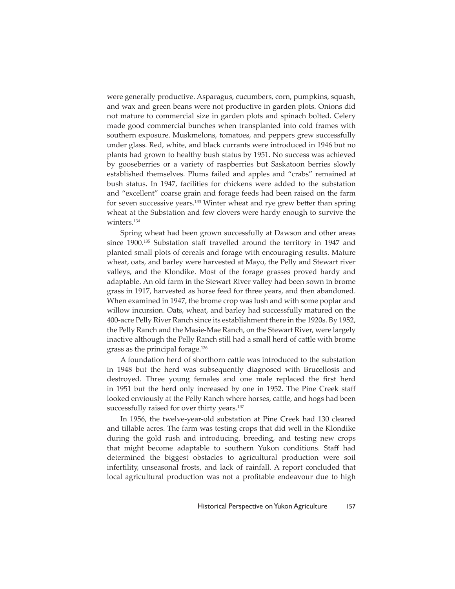were generally productive. Asparagus, cucumbers, corn, pumpkins, squash, and wax and green beans were not productive in garden plots. Onions did not mature to commercial size in garden plots and spinach bolted. Celery made good commercial bunches when transplanted into cold frames with southern exposure. Muskmelons, tomatoes, and peppers grew successfully under glass. Red, white, and black currants were introduced in 1946 but no plants had grown to healthy bush status by 1951. No success was achieved by gooseberries or a variety of raspberries but Saskatoon berries slowly established themselves. Plums failed and apples and "crabs" remained at bush status. In 1947, facilities for chickens were added to the substation and "excellent" coarse grain and forage feeds had been raised on the farm for seven successive years.<sup>133</sup> Winter wheat and rye grew better than spring wheat at the Substation and few clovers were hardy enough to survive the winters.<sup>134</sup>

Spring wheat had been grown successfully at Dawson and other areas since 1900.135 Substation staff travelled around the territory in 1947 and planted small plots of cereals and forage with encouraging results. Mature wheat, oats, and barley were harvested at Mayo, the Pelly and Stewart river valleys, and the Klondike. Most of the forage grasses proved hardy and adaptable. An old farm in the Stewart River valley had been sown in brome grass in 1917, harvested as horse feed for three years, and then abandoned. When examined in 1947, the brome crop was lush and with some poplar and willow incursion. Oats, wheat, and barley had successfully matured on the 400-acre Pelly River Ranch since its establishment there in the 1920s. By 1952, the Pelly Ranch and the Masie-Mae Ranch, on the Stewart River, were largely inactive although the Pelly Ranch still had a small herd of cattle with brome grass as the principal forage.136

A foundation herd of shorthorn cattle was introduced to the substation in 1948 but the herd was subsequently diagnosed with Brucellosis and destroyed. Three young females and one male replaced the first herd in 1951 but the herd only increased by one in 1952. The Pine Creek staff looked enviously at the Pelly Ranch where horses, cattle, and hogs had been successfully raised for over thirty years.<sup>137</sup>

In 1956, the twelve-year-old substation at Pine Creek had 130 cleared and tillable acres. The farm was testing crops that did well in the Klondike during the gold rush and introducing, breeding, and testing new crops that might become adaptable to southern Yukon conditions. Staff had determined the biggest obstacles to agricultural production were soil infertility, unseasonal frosts, and lack of rainfall. A report concluded that local agricultural production was not a profitable endeavour due to high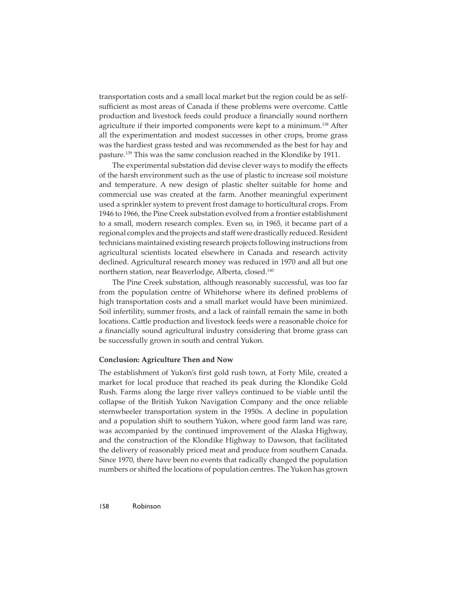transportation costs and a small local market but the region could be as selfsufficient as most areas of Canada if these problems were overcome. Cattle production and livestock feeds could produce a financially sound northern agriculture if their imported components were kept to a minimum.<sup>138</sup> After all the experimentation and modest successes in other crops, brome grass was the hardiest grass tested and was recommended as the best for hay and pasture.139 This was the same conclusion reached in the Klondike by 1911.

The experimental substation did devise clever ways to modify the effects of the harsh environment such as the use of plastic to increase soil moisture and temperature. A new design of plastic shelter suitable for home and commercial use was created at the farm. Another meaningful experiment used a sprinkler system to prevent frost damage to horticultural crops. From 1946 to 1966, the Pine Creek substation evolved from a frontier establishment to a small, modern research complex. Even so, in 1965, it became part of a regional complex and the projects and staff were drastically reduced. Resident technicians maintained existing research projects following instructions from agricultural scientists located elsewhere in Canada and research activity declined. Agricultural research money was reduced in 1970 and all but one northern station, near Beaverlodge, Alberta, closed.<sup>140</sup>

The Pine Creek substation, although reasonably successful, was too far from the population centre of Whitehorse where its defined problems of high transportation costs and a small market would have been minimized. Soil infertility, summer frosts, and a lack of rainfall remain the same in both locations. Cattle production and livestock feeds were a reasonable choice for a financially sound agricultural industry considering that brome grass can be successfully grown in south and central Yukon.

#### **Conclusion: Agriculture Then and Now**

The establishment of Yukon's first gold rush town, at Forty Mile, created a market for local produce that reached its peak during the Klondike Gold Rush. Farms along the large river valleys continued to be viable until the collapse of the British Yukon Navigation Company and the once reliable sternwheeler transportation system in the 1950s. A decline in population and a population shift to southern Yukon, where good farm land was rare, was accompanied by the continued improvement of the Alaska Highway, and the construction of the Klondike Highway to Dawson, that facilitated the delivery of reasonably priced meat and produce from southern Canada. Since 1970, there have been no events that radically changed the population numbers or shifted the locations of population centres. The Yukon has grown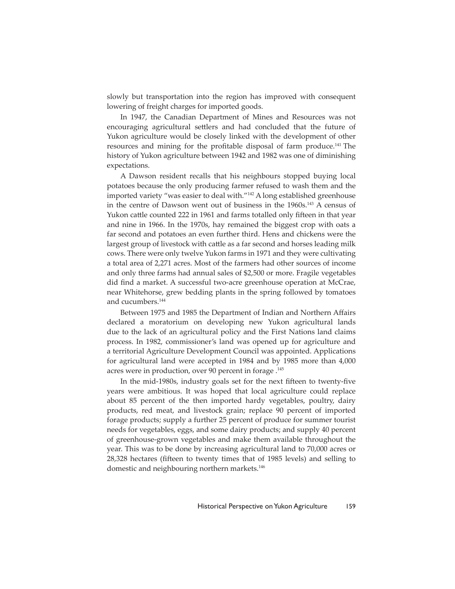slowly but transportation into the region has improved with consequent lowering of freight charges for imported goods.

In 1947, the Canadian Department of Mines and Resources was not encouraging agricultural settlers and had concluded that the future of Yukon agriculture would be closely linked with the development of other resources and mining for the profitable disposal of farm produce.<sup>141</sup> The history of Yukon agriculture between 1942 and 1982 was one of diminishing expectations.

A Dawson resident recalls that his neighbours stopped buying local potatoes because the only producing farmer refused to wash them and the imported variety "was easier to deal with."142 A long established greenhouse in the centre of Dawson went out of business in the 1960s.<sup>143</sup> A census of Yukon cattle counted 222 in 1961 and farms totalled only fifteen in that year and nine in 1966. In the 1970s, hay remained the biggest crop with oats a far second and potatoes an even further third. Hens and chickens were the largest group of livestock with cattle as a far second and horses leading milk cows. There were only twelve Yukon farms in 1971 and they were cultivating a total area of 2,271 acres. Most of the farmers had other sources of income and only three farms had annual sales of \$2,500 or more. Fragile vegetables did find a market. A successful two-acre greenhouse operation at McCrae, near Whitehorse, grew bedding plants in the spring followed by tomatoes and cucumbers.144

Between 1975 and 1985 the Department of Indian and Northern Affairs declared a moratorium on developing new Yukon agricultural lands due to the lack of an agricultural policy and the First Nations land claims process. In 1982, commissioner's land was opened up for agriculture and a territorial Agriculture Development Council was appointed. Applications for agricultural land were accepted in 1984 and by 1985 more than 4,000 acres were in production, over 90 percent in forage .<sup>145</sup>

In the mid-1980s, industry goals set for the next fifteen to twenty-five years were ambitious. It was hoped that local agriculture could replace about 85 percent of the then imported hardy vegetables, poultry, dairy products, red meat, and livestock grain; replace 90 percent of imported forage products; supply a further 25 percent of produce for summer tourist needs for vegetables, eggs, and some dairy products; and supply 40 percent of greenhouse-grown vegetables and make them available throughout the year. This was to be done by increasing agricultural land to 70,000 acres or 28,328 hectares (fifteen to twenty times that of 1985 levels) and selling to domestic and neighbouring northern markets.146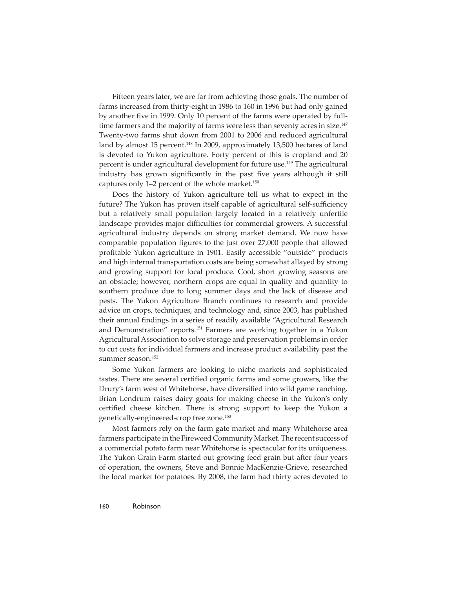Fifteen years later, we are far from achieving those goals. The number of farms increased from thirty-eight in 1986 to 160 in 1996 but had only gained by another five in 1999. Only 10 percent of the farms were operated by fulltime farmers and the majority of farms were less than seventy acres in size.<sup>147</sup> Twenty-two farms shut down from 2001 to 2006 and reduced agricultural land by almost 15 percent.<sup>148</sup> In 2009, approximately 13,500 hectares of land is devoted to Yukon agriculture. Forty percent of this is cropland and 20 percent is under agricultural development for future use.<sup>149</sup> The agricultural industry has grown significantly in the past five years although it still captures only 1-2 percent of the whole market.<sup>150</sup>

Does the history of Yukon agriculture tell us what to expect in the future? The Yukon has proven itself capable of agricultural self-sufficiency but a relatively small population largely located in a relatively unfertile landscape provides major difficulties for commercial growers. A successful agricultural industry depends on strong market demand. We now have comparable population figures to the just over 27,000 people that allowed profitable Yukon agriculture in 1901. Easily accessible "outside" products and high internal transportation costs are being somewhat allayed by strong and growing support for local produce. Cool, short growing seasons are an obstacle; however, northern crops are equal in quality and quantity to southern produce due to long summer days and the lack of disease and pests. The Yukon Agriculture Branch continues to research and provide advice on crops, techniques, and technology and, since 2003, has published their annual findings in a series of readily available "Agricultural Research and Demonstration" reports.151 Farmers are working together in a Yukon Agricultural Association to solve storage and preservation problems in order to cut costs for individual farmers and increase product availability past the summer season.<sup>152</sup>

Some Yukon farmers are looking to niche markets and sophisticated tastes. There are several certified organic farms and some growers, like the Drury's farm west of Whitehorse, have diversified into wild game ranching. Brian Lendrum raises dairy goats for making cheese in the Yukon's only certified cheese kitchen. There is strong support to keep the Yukon a genetically-engineered-crop free zone.153

Most farmers rely on the farm gate market and many Whitehorse area farmers participate in the Fireweed Community Market. The recent success of a commercial potato farm near Whitehorse is spectacular for its uniqueness. The Yukon Grain Farm started out growing feed grain but after four years of operation, the owners, Steve and Bonnie MacKenzie-Grieve, researched the local market for potatoes. By 2008, the farm had thirty acres devoted to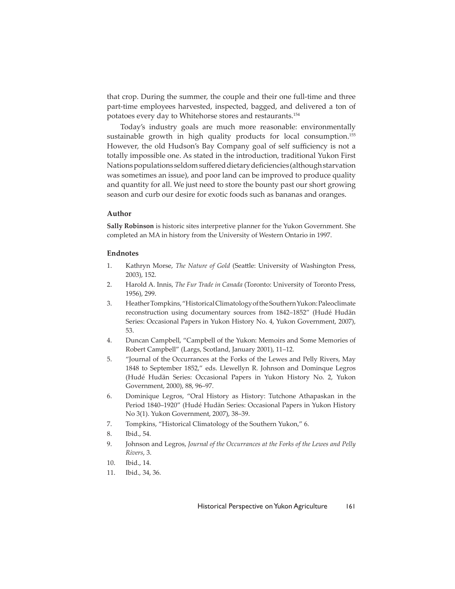that crop. During the summer, the couple and their one full-time and three part-time employees harvested, inspected, bagged, and delivered a ton of potatoes every day to Whitehorse stores and restaurants.154

Today's industry goals are much more reasonable: environmentally sustainable growth in high quality products for local consumption.<sup>155</sup> However, the old Hudson's Bay Company goal of self sufficiency is not a totally impossible one. As stated in the introduction, traditional Yukon First Nations populations seldom suffered dietary deficiencies (although starvation was sometimes an issue), and poor land can be improved to produce quality and quantity for all. We just need to store the bounty past our short growing season and curb our desire for exotic foods such as bananas and oranges.

## **Author**

**Sally Robinson** is historic sites interpretive planner for the Yukon Government. She completed an MA in history from the University of Western Ontario in 1997.

#### **Endnotes**

- 1. Kathryn Morse, *The Nature of Gold* (Seattle: University of Washington Press, 2003), 152.
- 2. Harold A. Innis, *The Fur Trade in Canada* (Toronto: University of Toronto Press, 1956), 299.
- 3. Heather Tompkins, "Historical Climatology of the Southern Yukon: Paleoclimate reconstruction using documentary sources from 1842–1852" (Hudé Hudän Series: Occasional Papers in Yukon History No. 4, Yukon Government, 2007), 53.
- 4. Duncan Campbell, "Campbell of the Yukon: Memoirs and Some Memories of Robert Campbell" (Largs, Scotland, January 2001), 11–12.
- 5. "Journal of the Occurrances at the Forks of the Lewes and Pelly Rivers, May 1848 to September 1852," eds. Llewellyn R. Johnson and Dominque Legros (Hudé Hudän Series: Occasional Papers in Yukon History No. 2, Yukon Government, 2000), 88, 96–97.
- 6. Dominique Legros, "Oral History as History: Tutchone Athapaskan in the Period 1840–1920" (Hudé Hudän Series: Occasional Papers in Yukon History No 3(1). Yukon Government, 2007), 38–39.
- 7. Tompkins, "Historical Climatology of the Southern Yukon," 6.
- 8. Ibid., 54.
- 9. Johnson and Legros, *Journal of the Occurrances at the Forks of the Lewes and Pelly Rivers*, 3.
- 10. Ibid., 14.
- 11. Ibid.*,* 34, 36.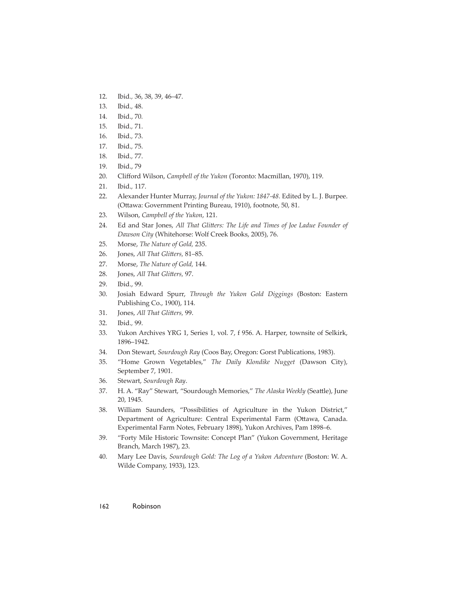- 12. Ibid*.,* 36, 38, 39, 46–47.
- 13. Ibid.*,* 48.
- 14. Ibid., 70*.*
- 15. Ibid.*,* 71.
- 16. Ibid.*,* 73.
- 17. Ibid.*,* 75.
- 18. Ibid.*,* 77.
- 19. Ibid., 79
- 20. Clifford Wilson, *Campbell of the Yukon* (Toronto: Macmillan, 1970), 119.
- 21. Ibid.*,* 117.
- 22. Alexander Hunter Murray, *Journal of the Yukon: 1847-48.* Edited by L. J. Burpee. (Ottawa: Government Printing Bureau, 1910), footnote, 50, 81.
- 23. Wilson, *Campbell of the Yukon*, 121.
- 24. Ed and Star Jones, *All That Glitters: The Life and Times of Joe Ladue Founder of Dawson City* (Whitehorse: Wolf Creek Books, 2005), 76.
- 25. Morse, *The Nature of Gold,* 235.
- 26. Jones, *All That Glitters*, 81-85.
- 27. Morse, *The Nature of Gold,* 144.
- 28. Jones, *All That Glitters*, 97.
- 29. Ibid., 99.
- 30. Josiah Edward Spurr, *Through the Yukon Gold Diggings* (Boston: Eastern Publishing Co., 1900), 114.
- 31. Jones, *All That Glitters*, 99.
- 32. Ibid.*,* 99.
- 33. Yukon Archives YRG 1, Series 1, vol. 7, f 956. A. Harper, townsite of Selkirk, 1896–1942.
- 34. Don Stewart, *Sourdough Ray* (Coos Bay, Oregon: Gorst Publications, 1983).
- 35. "Home Grown Vegetables," *The Daily Klondike Nugget* (Dawson City), September 7, 1901.
- 36. Stewart, *Sourdough Ray*.
- 37. H. A. "Ray" Stewart, "Sourdough Memories," The Alaska Weekly (Seattle), June 20, 1945.
- 38. William Saunders, "Possibilities of Agriculture in the Yukon District," Department of Agriculture: Central Experimental Farm (Ottawa, Canada. Experimental Farm Notes, February 1898), Yukon Archives, Pam 1898–6.
- 39. "Forty Mile Historic Townsite: Concept Plan" (Yukon Government, Heritage Branch, March 1987), 23.
- 40. Mary Lee Davis, *Sourdough Gold: The Log of a Yukon Adventure* (Boston: W. A. Wilde Company, 1933), 123.

#### 162 Robinson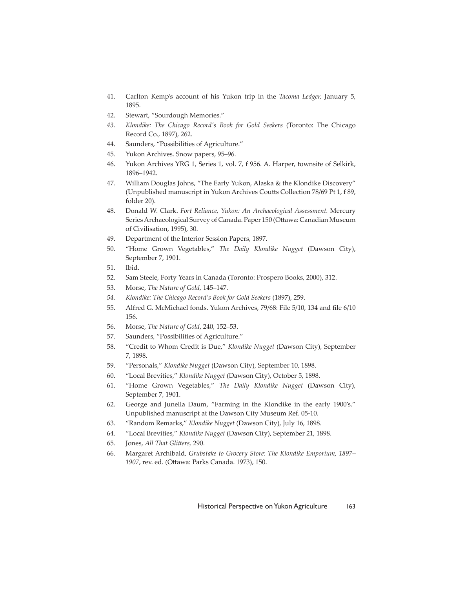- 41. Carlton Kemp's account of his Yukon trip in the *Tacoma Ledger,* January 5, 1895.
- 42. Stewart, "Sourdough Memories."
- *43. Klondike: The Chicago Record's Book for Gold Seekers* (Toronto: The Chicago Record Co., 1897), 262.
- 44. Saunders, "Possibilities of Agriculture."
- 45. Yukon Archives. Snow papers, 95–96.
- 46. Yukon Archives YRG 1, Series 1, vol. 7, f 956. A. Harper, townsite of Selkirk, 1896–1942.
- 47. William Douglas Johns, "The Early Yukon, Alaska & the Klondike Discovery" (Unpublished manuscript in Yukon Archives Coutts Collection 78/69 Pt 1, f 89, folder 20).
- 48. Donald W. Clark. *Fort Reliance, Yukon: An Archaeological Assessment.* Mercury Series Archaeological Survey of Canada. Paper 150 (Ottawa: Canadian Museum of Civilisation, 1995), 30.
- 49. Department of the Interior Session Papers, 1897.
- 50. "Home Grown Vegetables," *The Daily Klondike Nugget* (Dawson City), September 7, 1901.
- 51. Ibid.
- 52. Sam Steele, Forty Years in Canada (Toronto: Prospero Books, 2000), 312.
- 53. Morse, *The Nature of Gold,* 145–147.
- *54. Klondike: The Chicago Record's Book for Gold Seekers* (1897), 259.
- 55. Alfred G. McMichael fonds. Yukon Archives, 79/68: File 5/10, 134 and file 6/10 156.
- 56. Morse, *The Nature of Gold*, 240, 152–53.
- 57. Saunders, "Possibilities of Agriculture."
- 58. "Credit to Whom Credit is Due," *Klondike Nugget* (Dawson City), September 7, 1898.
- 59. "Personals," *Klondike Nugget* (Dawson City), September 10, 1898.
- 60. "Local Brevities," *Klondike Nugget* (Dawson City), October 5, 1898.
- 61. "Home Grown Vegetables," *The Daily Klondike Nugget* (Dawson City), September 7, 1901.
- 62. George and Junella Daum, "Farming in the Klondike in the early 1900's." Unpublished manuscript at the Dawson City Museum Ref. 05-10.
- 63. "Random Remarks," *Klondike Nugget* (Dawson City), July 16, 1898.
- 64. "Local Brevities," *Klondike Nugget* (Dawson City), September 21, 1898.
- 65. Jones, *All That Glitters*, 290.
- 66. Margaret Archibald, *Grubstake to Grocery Store: The Klondike Emporium, 1897–* 1907, rev. ed. (Ottawa: Parks Canada. 1973), 150.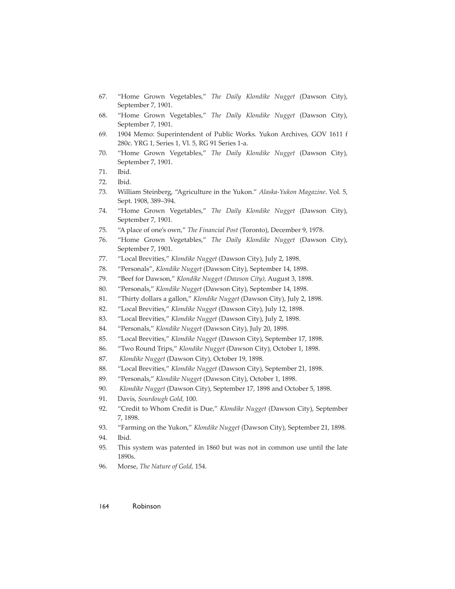- 67. "Home Grown Vegetables," *The Daily Klondike Nugget* (Dawson City), September 7, 1901.
- 68. "Home Grown Vegetables," *The Daily Klondike Nugget* (Dawson City), September 7, 1901.
- 69. 1904 Memo: Superintendent of Public Works. Yukon Archives, GOV 1611 f 280c. YRG 1, Series 1, Vl. 5, RG 91 Series 1-a.
- 70. "Home Grown Vegetables," *The Daily Klondike Nugget* (Dawson City), September 7, 1901.
- 71. Ibid.
- 72. Ibid.
- 73. William Steinberg, "Agriculture in the Yukon." *Alaska-Yukon Magazine*. Vol. 5, Sept. 1908, 389–394.
- 74. "Home Grown Vegetables," *The Daily Klondike Nugget* (Dawson City), September 7, 1901.
- 75. "A place of one's own," *The Financial Post* (Toronto), December 9, 1978.
- 76. "Home Grown Vegetables," *The Daily Klondike Nugget* (Dawson City), September 7, 1901.
- 77. "Local Brevities," *Klondike Nugget* (Dawson City), July 2, 1898.
- 78. "Personals", *Klondike Nugget* (Dawson City), September 14, 1898.
- 79. "Beef for Dawson," *Klondike Nugget (Dawson City),* August 3, 1898.
- 80. "Personals," *Klondike Nugget* (Dawson City), September 14, 1898.
- 81. "Thirty dollars a gallon," *Klondike Nugget* (Dawson City), July 2, 1898.
- 82. "Local Brevities," *Klondike Nugget* (Dawson City), July 12, 1898.
- 83. "Local Brevities," *Klondike Nugget* (Dawson City), July 2, 1898.
- 84. "Personals," *Klondike Nugget* (Dawson City), July 20, 1898.
- 85. "Local Brevities," *Klondike Nugget* (Dawson City), September 17, 1898.
- 86. "Two Round Trips," *Klondike Nugget* (Dawson City), October 1, 1898.
- 87. *Klondike Nugget* (Dawson City), October 19, 1898.
- 88. "Local Brevities," *Klondike Nugget* (Dawson City), September 21, 1898.
- 89. "Personals," *Klondike Nugget* (Dawson City), October 1, 1898.
- 90. *Klondike Nugget* (Dawson City), September 17, 1898 and October 5, 1898.
- 91. Davis, *Sourdough Gold,* 100.
- 92. "Credit to Whom Credit is Due," *Klondike Nugget* (Dawson City), September 7, 1898.
- 93. "Farming on the Yukon," *Klondike Nugget* (Dawson City), September 21, 1898.
- 94. Ibid.
- 95. This system was patented in 1860 but was not in common use until the late 1890s.
- 96. Morse, *The Nature of Gold,* 154.

#### 164 Robinson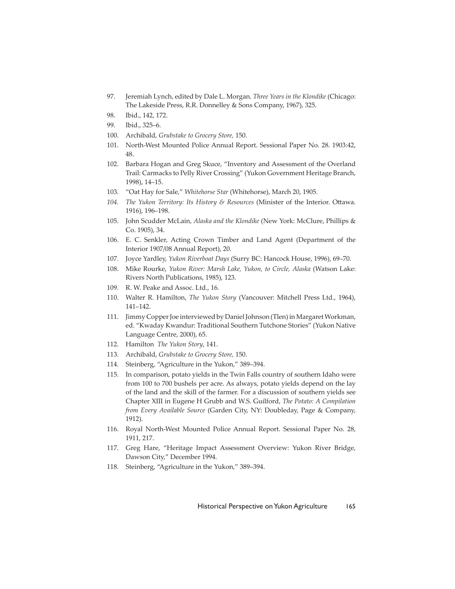- 97. Jeremiah Lynch, edited by Dale L. Morgan. *Three Years in the Klondike* (Chicago: The Lakeside Press, R.R. Donnelley & Sons Company, 1967), 325.
- 98. Ibid., 142, 172.
- 99. Ibid., 325–6.
- 100. Archibald, *Grubstake to Grocery Store,* 150.
- 101. North-West Mounted Police Annual Report. Sessional Paper No. 28. 1903:42, 48.
- 102. Barbara Hogan and Greg Skuce, "Inventory and Assessment of the Overland Trail: Carmacks to Pelly River Crossing" (Yukon Government Heritage Branch, 1998), 14–15.
- 103. "Oat Hay for Sale," *Whitehorse Star* (Whitehorse), March 20, 1905.
- 104. The Yukon Territory: Its History & Resources (Minister of the Interior. Ottawa. 1916), 196–198.
- 105. John Scudder McLain, *Alaska and the Klondike* (New York: McClure, Phillips & Co. 1905), 34.
- 106. E. C. Senkler, Acting Crown Timber and Land Agent (Department of the Interior 1907/08 Annual Report), 20.
- 107. Joyce Yardley, *Yukon Riverboat Days* (Surry BC: Hancock House, 1996), 69–70.
- 108. Mike Rourke, *Yukon River: Marsh Lake, Yukon, to Circle, Alaska* (Watson Lake: Rivers North Publications, 1985), 123.
- 109. R. W. Peake and Assoc. Ltd., 16.
- 110. Walter R. Hamilton, *The Yukon Story* (Vancouver: Mitchell Press Ltd., 1964), 141–142.
- 111. Jimmy Copper Joe interviewed by Daniel Johnson (Tlen) in Margaret Workman, ed. "Kwaday Kwandur: Traditional Southern Tutchone Stories" (Yukon Native Language Centre, 2000), 65.
- 112. Hamilton *The Yukon Story*, 141.
- 113. Archibald, *Grubstake to Grocery Store,* 150.
- 114. Steinberg, "Agriculture in the Yukon," 389–394.
- 115. In comparison, potato yields in the Twin Falls country of southern Idaho were from 100 to 700 bushels per acre. As always, potato yields depend on the lay of the land and the skill of the farmer. For a discussion of southern yields see Chapter XIII in Eugene H Grubb and W.S. Guilford, *The Potato: A Compilation from Every Available Source* (Garden City, NY: Doubleday, Page & Company, 1912).
- 116. Royal North-West Mounted Police Annual Report. Sessional Paper No. 28, 1911, 217.
- 117. Greg Hare, "Heritage Impact Assessment Overview: Yukon River Bridge, Dawson City," December 1994.
- 118. Steinberg, "Agriculture in the Yukon," 389–394.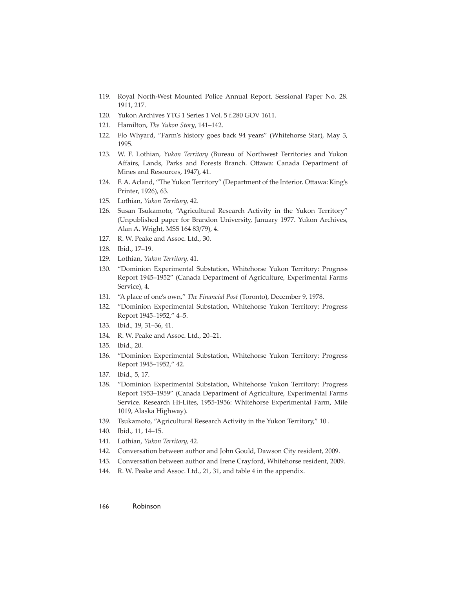- 119. Royal North-West Mounted Police Annual Report. Sessional Paper No. 28. 1911, 217.
- 120. Yukon Archives YTG 1 Series 1 Vol. 5 f.280 GOV 1611.
- 121. Hamilton, *The Yukon Story*, 141–142.
- 122. Flo Whyard, "Farm's history goes back 94 years" (Whitehorse Star), May 3, 1995.
- 123. W. F. Lothian, *Yukon Territory* (Bureau of Northwest Territories and Yukon Affairs, Lands, Parks and Forests Branch. Ottawa: Canada Department of Mines and Resources, 1947), 41.
- 124. F. A. Acland, "The Yukon Territory" (Department of the Interior. Ottawa: King's Printer, 1926), 63.
- 125. Lothian, *Yukon Territory,* 42.
- 126. Susan Tsukamoto, "Agricultural Research Activity in the Yukon Territory" (Unpublished paper for Brandon University, January 1977. Yukon Archives, Alan A. Wright, MSS 164 83/79), 4.
- 127. R. W. Peake and Assoc. Ltd., 30.
- 128. Ibid., 17–19.
- 129. Lothian, *Yukon Territory,* 41.
- 130. "Dominion Experimental Substation, Whitehorse Yukon Territory: Progress Report 1945–1952" (Canada Department of Agriculture, Experimental Farms Service), 4.
- 131. "A place of one's own," *The Financial Post* (Toronto), December 9, 1978.
- 132. "Dominion Experimental Substation, Whitehorse Yukon Territory: Progress Report 1945–1952," 4–5.
- 133. Ibid.*,* 19, 31–36, 41.
- 134. R. W. Peake and Assoc. Ltd., 20–21.
- 135. Ibid., 20.
- 136. "Dominion Experimental Substation, Whitehorse Yukon Territory: Progress Report 1945–1952," 42.
- 137. Ibid.*,* 5, 17.
- 138. "Dominion Experimental Substation, Whitehorse Yukon Territory: Progress Report 1953–1959" (Canada Department of Agriculture, Experimental Farms Service. Research Hi-Lites, 1955-1956: Whitehorse Experimental Farm, Mile 1019, Alaska Highway).
- 139. Tsukamoto, "Agricultural Research Activity in the Yukon Territory," 10 .
- 140. Ibid.*,* 11, 14–15.
- 141. Lothian, *Yukon Territory,* 42.
- 142. Conversation between author and John Gould, Dawson City resident, 2009.
- 143. Conversation between author and Irene Crayford, Whitehorse resident, 2009.
- 144. R. W. Peake and Assoc. Ltd., 21, 31, and table 4 in the appendix.
- 166 Robinson